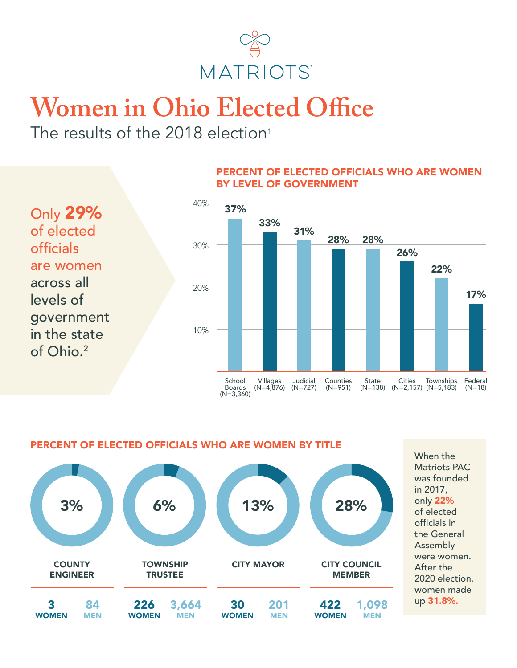

## **Women in Ohio Elected Office**

The results of the 2018 election<sup>1</sup>

Only 29% of elected officials are women across all levels of government in the state of Ohio.<sup>2</sup>

## PERCENT OF ELECTED OFFICIALS WHO ARE WOMEN BY LEVEL OF GOVERNMENT



PERCENT OF ELECTED OFFICIALS WHO ARE WOMEN BY TITLE